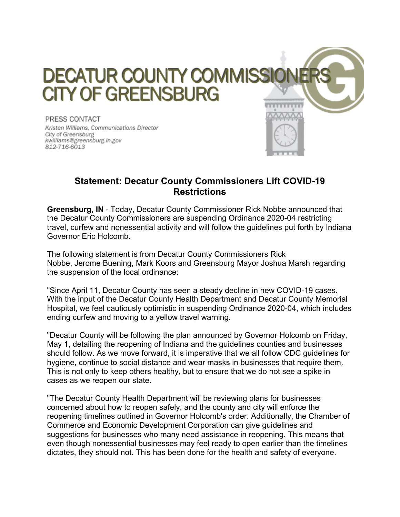

## **Statement: Decatur County Commissioners Lift COVID-19 Restrictions**

**Greensburg, IN** - Today, Decatur County Commissioner Rick Nobbe announced that the Decatur County Commissioners are suspending Ordinance 2020-04 restricting travel, curfew and nonessential activity and will follow the guidelines put forth by Indiana Governor Eric Holcomb.

The following statement is from Decatur County Commissioners Rick Nobbe, Jerome Buening, Mark Koors and Greensburg Mayor Joshua Marsh regarding the suspension of the local ordinance:

"Since April 11, Decatur County has seen a steady decline in new COVID-19 cases. With the input of the Decatur County Health Department and Decatur County Memorial Hospital, we feel cautiously optimistic in suspending Ordinance 2020-04, which includes ending curfew and moving to a yellow travel warning.

"Decatur County will be following the plan announced by Governor Holcomb on Friday, May 1, detailing the reopening of Indiana and the guidelines counties and businesses should follow. As we move forward, it is imperative that we all follow CDC guidelines for hygiene, continue to social distance and wear masks in businesses that require them. This is not only to keep others healthy, but to ensure that we do not see a spike in cases as we reopen our state.

"The Decatur County Health Department will be reviewing plans for businesses concerned about how to reopen safely, and the county and city will enforce the reopening timelines outlined in Governor Holcomb's order. Additionally, the Chamber of Commerce and Economic Development Corporation can give guidelines and suggestions for businesses who many need assistance in reopening. This means that even though nonessential businesses may feel ready to open earlier than the timelines dictates, they should not. This has been done for the health and safety of everyone.